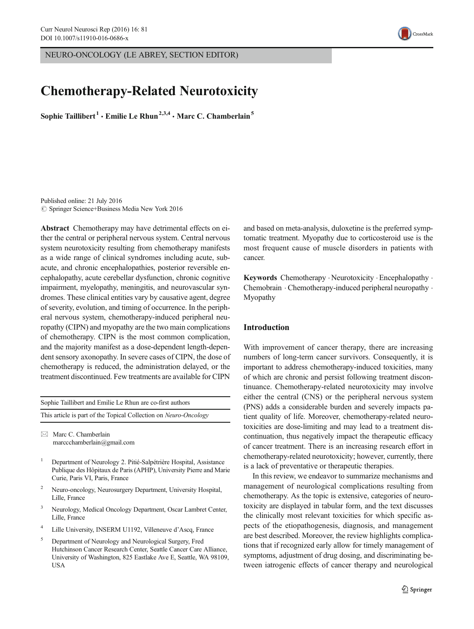NEURO-ONCOLOGY (LE ABREY, SECTION EDITOR)

# Chemotherapy-Related Neurotoxicity

Sophie Taillibert<sup>1</sup>  $\cdot$  Emilie Le Rhun<sup>2,3,4</sup>  $\cdot$  Marc C. Chamberlain<sup>5</sup>

Published online: 21 July 2016  $\circ$  Springer Science+Business Media New York 2016

Abstract Chemotherapy may have detrimental effects on either the central or peripheral nervous system. Central nervous system neurotoxicity resulting from chemotherapy manifests as a wide range of clinical syndromes including acute, subacute, and chronic encephalopathies, posterior reversible encephalopathy, acute cerebellar dysfunction, chronic cognitive impairment, myelopathy, meningitis, and neurovascular syndromes. These clinical entities vary by causative agent, degree of severity, evolution, and timing of occurrence. In the peripheral nervous system, chemotherapy-induced peripheral neuropathy (CIPN) and myopathy are the two main complications of chemotherapy. CIPN is the most common complication, and the majority manifest as a dose-dependent length-dependent sensory axonopathy. In severe cases of CIPN, the dose of chemotherapy is reduced, the administration delayed, or the treatment discontinued. Few treatments are available for CIPN

| Sophie Taillibert and Emilie Le Rhun are co-first authors        |  |
|------------------------------------------------------------------|--|
| This article is part of the Topical Collection on Neuro-Oncology |  |

 $\boxtimes$  Marc C. Chamberlain marccchamberlain@gmail.com

- <sup>1</sup> Department of Neurology 2. Pitié-Salpétrière Hospital, Assistance Publique des Hôpitaux de Paris (APHP), University Pierre and Marie Curie, Paris VI, Paris, France
- <sup>2</sup> Neuro-oncology, Neurosurgery Department, University Hospital, Lille, France
- <sup>3</sup> Neurology, Medical Oncology Department, Oscar Lambret Center, Lille, France
- <sup>4</sup> Lille University, INSERM U1192, Villeneuve d'Ascq, France
- <sup>5</sup> Department of Neurology and Neurological Surgery, Fred Hutchinson Cancer Research Center, Seattle Cancer Care Alliance, University of Washington, 825 Eastlake Ave E, Seattle, WA 98109, USA

and based on meta-analysis, duloxetine is the preferred symptomatic treatment. Myopathy due to corticosteroid use is the most frequent cause of muscle disorders in patients with cancer.

Keywords Chemotherapy . Neurotoxicity . Encephalopathy . Chemobrain . Chemotherapy-induced peripheral neuropathy . Myopathy

## Introduction

With improvement of cancer therapy, there are increasing numbers of long-term cancer survivors. Consequently, it is important to address chemotherapy-induced toxicities, many of which are chronic and persist following treatment discontinuance. Chemotherapy-related neurotoxicity may involve either the central (CNS) or the peripheral nervous system (PNS) adds a considerable burden and severely impacts patient quality of life. Moreover, chemotherapy-related neurotoxicities are dose-limiting and may lead to a treatment discontinuation, thus negatively impact the therapeutic efficacy of cancer treatment. There is an increasing research effort in chemotherapy-related neurotoxicity; however, currently, there is a lack of preventative or therapeutic therapies.

In this review, we endeavor to summarize mechanisms and management of neurological complications resulting from chemotherapy. As the topic is extensive, categories of neurotoxicity are displayed in tabular form, and the text discusses the clinically most relevant toxicities for which specific aspects of the etiopathogenesis, diagnosis, and management are best described. Moreover, the review highlights complications that if recognized early allow for timely management of symptoms, adjustment of drug dosing, and discriminating between iatrogenic effects of cancer therapy and neurological

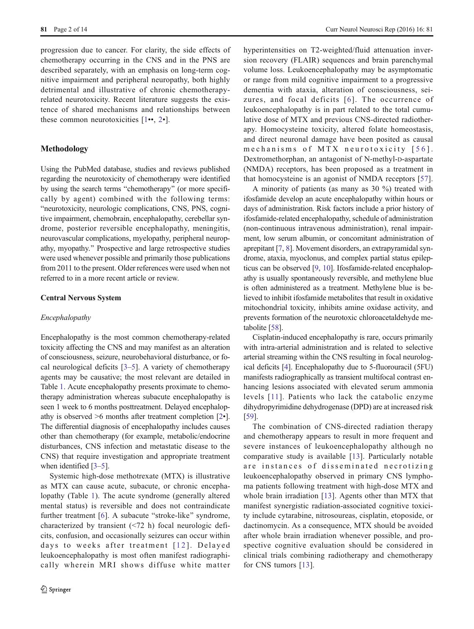progression due to cancer. For clarity, the side effects of chemotherapy occurring in the CNS and in the PNS are described separately, with an emphasis on long-term cognitive impairment and peripheral neuropathy, both highly detrimental and illustrative of chronic chemotherapyrelated neurotoxicity. Recent literature suggests the existence of shared mechanisms and relationships between these common neurotoxicities  $[1\bullet 2\bullet]$  $[1\bullet 2\bullet]$  $[1\bullet 2\bullet]$  $[1\bullet 2\bullet]$  $[1\bullet 2\bullet]$ .

## Methodology

Using the PubMed database, studies and reviews published regarding the neurotoxicity of chemotherapy were identified by using the search terms "chemotherapy" (or more specifically by agent) combined with the following terms: "neurotoxicity, neurologic complications, CNS, PNS, cognitive impairment, chemobrain, encephalopathy, cerebellar syndrome, posterior reversible encephalopathy, meningitis, neurovascular complications, myelopathy, peripheral neuropathy, myopathy.^ Prospective and large retrospective studies were used whenever possible and primarily those publications from 2011 to the present. Older references were used when not referred to in a more recent article or review.

## Central Nervous System

#### Encephalopathy

Encephalopathy is the most common chemotherapy-related toxicity affecting the CNS and may manifest as an alteration of consciousness, seizure, neurobehavioral disturbance, or focal neurological deficits [\[3](#page-10-0)–[5](#page-10-0)]. A variety of chemotherapy agents may be causative; the most relevant are detailed in Table [1.](#page-2-0) Acute encephalopathy presents proximate to chemotherapy administration whereas subacute encephalopathy is seen 1 week to 6 months posttreatment. Delayed encephalopathy is observed  $\geq 6$  months after treatment completion  $[2\bullet]$  $[2\bullet]$ . The differential diagnosis of encephalopathy includes causes other than chemotherapy (for example, metabolic/endocrine disturbances, CNS infection and metastatic disease to the CNS) that require investigation and appropriate treatment when identified [\[3](#page-10-0)–[5](#page-10-0)].

Systemic high-dose methotrexate (MTX) is illustrative as MTX can cause acute, subacute, or chronic encephalopathy (Table [1\)](#page-2-0). The acute syndrome (generally altered mental status) is reversible and does not contraindicate further treatment [[6\]](#page-10-0). A subacute "stroke-like" syndrome, characterized by transient (<72 h) focal neurologic deficits, confusion, and occasionally seizures can occur within days to weeks after treatment [12]. Delayed leukoencephalopathy is most often manifest radiographically wherein MRI shows diffuse white matter hyperintensities on T2-weighted/fluid attenuation inversion recovery (FLAIR) sequences and brain parenchymal volume loss. Leukoencephalopathy may be asymptomatic or range from mild cognitive impairment to a progressive dementia with ataxia, alteration of consciousness, seizures, and focal deficits [[6](#page-10-0)]. The occurrence of leukoencephalopathy is in part related to the total cumulative dose of MTX and previous CNS-directed radiotherapy. Homocysteine toxicity, altered folate homeostasis, and direct neuronal damage have been posited as causal mechanisms of MTX neurotoxicity [56]. Dextromethorphan, an antagonist of N-methyl-D-aspartate (NMDA) receptors, has been proposed as a treatment in that homocysteine is an agonist of NMDA receptors [\[57](#page-11-0)].

A minority of patients (as many as 30 %) treated with ifosfamide develop an acute encephalopathy within hours or days of administration. Risk factors include a prior history of ifosfamide-related encephalopathy, schedule of administration (non-continuous intravenous administration), renal impairment, low serum albumin, or concomitant administration of aprepitant [[7,](#page-10-0) [8](#page-10-0)]. Movement disorders, an extrapyramidal syndrome, ataxia, myoclonus, and complex partial status epilepticus can be observed [[9](#page-10-0), [10](#page-10-0)]. Ifosfamide-related encephalopathy is usually spontaneously reversible, and methylene blue is often administered as a treatment. Methylene blue is believed to inhibit ifosfamide metabolites that result in oxidative mitochondrial toxicity, inhibits amine oxidase activity, and prevents formation of the neurotoxic chloroacetaldehyde metabolite [[58](#page-11-0)].

Cisplatin-induced encephalopathy is rare, occurs primarily with intra-arterial administration and is related to selective arterial streaming within the CNS resulting in focal neurological deficits [\[4](#page-10-0)]. Encephalopathy due to 5-fluorouracil (5FU) manifests radiographically as transient multifocal contrast enhancing lesions associated with elevated serum ammonia levels [[11](#page-10-0)]. Patients who lack the catabolic enzyme dihydropyrimidine dehydrogenase (DPD) are at increased risk [\[59](#page-11-0)].

The combination of CNS-directed radiation therapy and chemotherapy appears to result in more frequent and severe instances of leukoencephalopathy although no comparative study is available [\[13\]](#page-10-0). Particularly notable are instances of disseminated necrotizing leukoencephalopathy observed in primary CNS lymphoma patients following treatment with high-dose MTX and whole brain irradiation [\[13](#page-10-0)]. Agents other than MTX that manifest synergistic radiation-associated cognitive toxicity include cytarabine, nitrosoureas, cisplatin, etoposide, or dactinomycin. As a consequence, MTX should be avoided after whole brain irradiation whenever possible, and prospective cognitive evaluation should be considered in clinical trials combining radiotherapy and chemotherapy for CNS tumors [\[13\]](#page-10-0).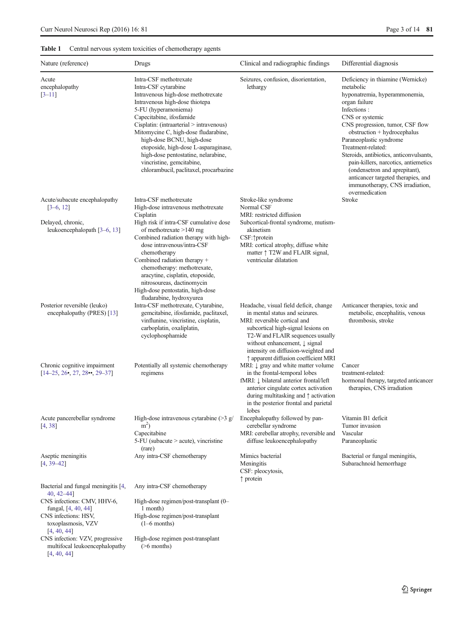# <span id="page-2-0"></span>Table 1 Central nervous system toxicities of chemotherapy agents

| Nature (reference)                                                                               | Drugs                                                                                                                                                                                                                                                                                                                                                                                                                                             | Clinical and radiographic findings                                                                                                                                                                                                                                               | Differential diagnosis                                                                                                                                                                                                                                                                                                                                                                                                                                                |
|--------------------------------------------------------------------------------------------------|---------------------------------------------------------------------------------------------------------------------------------------------------------------------------------------------------------------------------------------------------------------------------------------------------------------------------------------------------------------------------------------------------------------------------------------------------|----------------------------------------------------------------------------------------------------------------------------------------------------------------------------------------------------------------------------------------------------------------------------------|-----------------------------------------------------------------------------------------------------------------------------------------------------------------------------------------------------------------------------------------------------------------------------------------------------------------------------------------------------------------------------------------------------------------------------------------------------------------------|
| Acute<br>encephalopathy<br>$[3-11]$                                                              | Intra-CSF methotrexate<br>Intra-CSF cytarabine<br>Intravenous high-dose methotrexate<br>Intravenous high-dose thiotepa<br>5-FU (hyperamoniema)<br>Capecitabine, ifosfamide<br>Cisplatin: (intraarterial > intravenous)<br>Mitomycine C, high-dose fludarabine,<br>high-dose BCNU, high-dose<br>etoposide, high-dose L-asparaginase,<br>high-dose pentostatine, nelarabine,<br>vincristine, gemcitabine,<br>chlorambucil, paclitaxel, procarbazine | Seizures, confusion, disorientation,<br>lethargy                                                                                                                                                                                                                                 | Deficiency in thiamine (Wernicke)<br>metabolic<br>hyponatremia, hyperammonemia,<br>organ failure<br>Infections:<br>CNS or systemic<br>CNS progression, tumor, CSF flow<br>obstruction + hydrocephalus<br>Paraneoplastic syndrome<br>Treatment-related:<br>Steroids, antibiotics, anticonvulsants,<br>pain-killers, narcotics, antiemetics<br>(ondensetron and aprepitant),<br>anticancer targeted therapies, and<br>immunotherapy, CNS irradiation,<br>overmedication |
| Acute/subacute encephalopathy<br>$[3-6, 12]$                                                     | Intra-CSF methotrexate<br>High-dose intravenous methotrexate                                                                                                                                                                                                                                                                                                                                                                                      | Stroke-like syndrome<br>Normal CSF                                                                                                                                                                                                                                               | Stroke                                                                                                                                                                                                                                                                                                                                                                                                                                                                |
| Delayed, chronic,<br>leukoencephalopath [3-6, 13]                                                | Cisplatin<br>High risk if intra-CSF cumulative dose<br>of methotrexate $>140$ mg<br>Combined radiation therapy with high-<br>dose intravenous/intra-CSF<br>chemotherapy                                                                                                                                                                                                                                                                           | MRI: restricted diffusion<br>Subcortical-frontal syndrome, mutism-<br>akinetism<br>CSF: ^protein<br>MRI: cortical atrophy, diffuse white<br>matter $\uparrow$ T2W and FLAIR signal,                                                                                              |                                                                                                                                                                                                                                                                                                                                                                                                                                                                       |
| Posterior reversible (leuko)                                                                     | Combined radiation therapy +<br>chemotherapy: methotrexate,<br>aracytine, cisplatin, etoposide,<br>nitrosoureas, dactinomycin<br>High-dose pentostatin, high-dose<br>fludarabine, hydroxyurea<br>Intra-CSF methotrexate, Cytarabine,                                                                                                                                                                                                              | ventricular dilatation<br>Headache, visual field deficit, change                                                                                                                                                                                                                 | Anticancer therapies, toxic and                                                                                                                                                                                                                                                                                                                                                                                                                                       |
| encephalopathy (PRES) [13]                                                                       | gemcitabine, ifosfamide, paclitaxel,<br>vinflunine, vincristine, cisplatin,<br>carboplatin, oxaliplatin,<br>cyclophosphamide                                                                                                                                                                                                                                                                                                                      | in mental status and seizures.<br>MRI: reversible cortical and<br>subcortical high-signal lesions on<br>T2-W and FLAIR sequences usually<br>without enhancement, $\downarrow$ signal<br>intensity on diffusion-weighted and<br>↑ apparent diffusion coefficient MRI              | metabolic, encephalitis, venous<br>thrombosis, stroke                                                                                                                                                                                                                                                                                                                                                                                                                 |
| Chronic cognitive impairment<br>$[14-25, 26, 27, 28, 29-37]$                                     | Potentially all systemic chemotherapy<br>regimens                                                                                                                                                                                                                                                                                                                                                                                                 | MRI: $\downarrow$ gray and white matter volume<br>in the frontal-temporal lobes<br>fMRI: $\downarrow$ bilateral anterior frontal/left<br>anterior cingulate cortex activation<br>during multitasking and $\uparrow$ activation<br>in the posterior frontal and parietal<br>lobes | Cancer<br>treatment-related:<br>hormonal therapy, targeted anticancer<br>therapies, CNS irradiation                                                                                                                                                                                                                                                                                                                                                                   |
| Acute pancerebellar syndrome<br>[4, 38]                                                          | High-dose intravenous cytarabine $(>3 g)$<br>m <sup>2</sup><br>Capecitabine<br>5-FU (subacute > acute), vincristine<br>(rare)                                                                                                                                                                                                                                                                                                                     | Encephalopathy followed by pan-<br>cerebellar syndrome<br>MRI: cerebellar atrophy, reversible and<br>diffuse leukoencephalopathy                                                                                                                                                 | Vitamin B1 deficit<br>Tumor invasion<br>Vascular<br>Paraneoplastic                                                                                                                                                                                                                                                                                                                                                                                                    |
| Aseptic meningitis<br>$[4, 39 - 42]$                                                             | Any intra-CSF chemotherapy                                                                                                                                                                                                                                                                                                                                                                                                                        | Mimics bacterial<br>Meningitis<br>CSF: pleocytosis,<br>$\uparrow$ protein                                                                                                                                                                                                        | Bacterial or fungal meningitis,<br>Subarachnoid hemorrhage                                                                                                                                                                                                                                                                                                                                                                                                            |
| Bacterial and fungal meningitis [4,<br>$40, 42 - 44$ ]                                           | Any intra-CSF chemotherapy                                                                                                                                                                                                                                                                                                                                                                                                                        |                                                                                                                                                                                                                                                                                  |                                                                                                                                                                                                                                                                                                                                                                                                                                                                       |
| CNS infections: CMV, HHV-6,<br>fungal, [4, 40, 44]<br>CNS infections: HSV,<br>toxoplasmosis, VZV | High-dose regimen/post-transplant (0-<br>1 month)<br>High-dose regimen/post-transplant<br>$(1-6$ months)                                                                                                                                                                                                                                                                                                                                          |                                                                                                                                                                                                                                                                                  |                                                                                                                                                                                                                                                                                                                                                                                                                                                                       |
| [4, 40, 44]<br>CNS infection: VZV, progressive<br>multifocal leukoencephalopathy<br>[4, 40, 44]  | High-dose regimen post-transplant<br>$($ >6 months)                                                                                                                                                                                                                                                                                                                                                                                               |                                                                                                                                                                                                                                                                                  |                                                                                                                                                                                                                                                                                                                                                                                                                                                                       |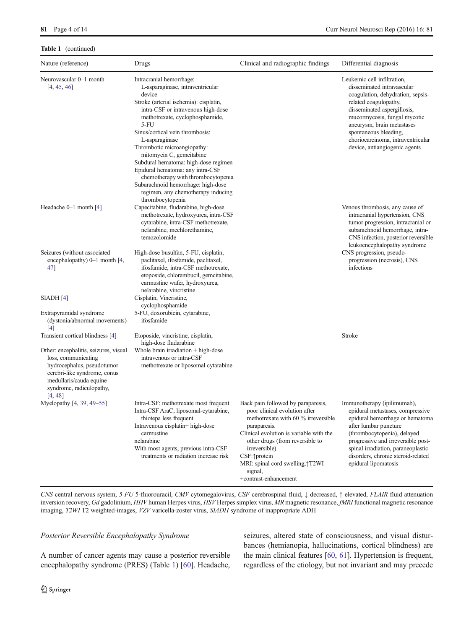#### Table 1 (continued)

| Nature (reference)                                                                                                                                                                           | Drugs                                                                                                                                                                                                                                                                                                                                                                                                                                                                                                                                 | Clinical and radiographic findings                                                                                                                                                                                                                                                                                 | Differential diagnosis                                                                                                                                                                                                                                                                                              |
|----------------------------------------------------------------------------------------------------------------------------------------------------------------------------------------------|---------------------------------------------------------------------------------------------------------------------------------------------------------------------------------------------------------------------------------------------------------------------------------------------------------------------------------------------------------------------------------------------------------------------------------------------------------------------------------------------------------------------------------------|--------------------------------------------------------------------------------------------------------------------------------------------------------------------------------------------------------------------------------------------------------------------------------------------------------------------|---------------------------------------------------------------------------------------------------------------------------------------------------------------------------------------------------------------------------------------------------------------------------------------------------------------------|
| Neurovascular 0-1 month<br>[4, 45, 46]                                                                                                                                                       | Intracranial hemorrhage:<br>L-asparaginase, intraventricular<br>device<br>Stroke (arterial ischemia): cisplatin,<br>intra-CSF or intravenous high-dose<br>methotrexate, cyclophosphamide,<br>$5-FU$<br>Sinus/cortical vein thrombosis:<br>L-asparaginase<br>Thrombotic microangiopathy:<br>mitomycin C, gemcitabine<br>Subdural hematoma: high-dose regimen<br>Epidural hematoma: any intra-CSF<br>chemotherapy with thrombocytopenia<br>Subarachnoid hemorrhage: high-dose<br>regimen, any chemotherapy inducing<br>thrombocytopenia |                                                                                                                                                                                                                                                                                                                    | Leukemic cell infiltration,<br>disseminated intravascular<br>coagulation, dehydration, sepsis-<br>related coagulopathy,<br>disseminated aspergillosis,<br>mucormycosis, fungal mycotic<br>aneurysm, brain metastases<br>spontaneous bleeding,<br>choriocarcinoma, intraventricular<br>device, antiangiogenic agents |
| Headache $0-1$ month $[4]$                                                                                                                                                                   | Capecitabine, fludarabine, high-dose<br>methotrexate, hydroxyurea, intra-CSF<br>cytarabine, intra-CSF methotrexate,<br>nelarabine, mechlorethamine,<br>temozolomide                                                                                                                                                                                                                                                                                                                                                                   |                                                                                                                                                                                                                                                                                                                    | Venous thrombosis, any cause of<br>intracranial hypertension, CNS<br>tumor progression, intracranial or<br>subarachnoid hemorrhage, intra-<br>CNS infection, posterior reversible<br>leukoencephalopathy syndrome                                                                                                   |
| Seizures (without associated<br>encephalopathy) $0-1$ month [4,<br>47]                                                                                                                       | High-dose busulfan, 5-FU, cisplatin,<br>paclitaxel, ifosfamide, paclitaxel,<br>ifosfamide, intra-CSF methotrexate,<br>etoposide, chlorambucil, gemcitabine,<br>carmustine wafer, hydroxyurea,<br>nelarabine, vincristine                                                                                                                                                                                                                                                                                                              |                                                                                                                                                                                                                                                                                                                    | CNS progression, pseudo-<br>progression (necrosis), CNS<br>infections                                                                                                                                                                                                                                               |
| SIADH [4]<br>Extrapyramidal syndrome                                                                                                                                                         | Cisplatin, Vincristine,<br>cyclophosphamide<br>5-FU, doxorubicin, cytarabine,                                                                                                                                                                                                                                                                                                                                                                                                                                                         |                                                                                                                                                                                                                                                                                                                    |                                                                                                                                                                                                                                                                                                                     |
| (dystonia/abnormal movements)<br>[4]                                                                                                                                                         | ifosfamide                                                                                                                                                                                                                                                                                                                                                                                                                                                                                                                            |                                                                                                                                                                                                                                                                                                                    |                                                                                                                                                                                                                                                                                                                     |
| Transient cortical blindness [4]                                                                                                                                                             | Etoposide, vincristine, cisplatin,<br>high-dose fludarabine                                                                                                                                                                                                                                                                                                                                                                                                                                                                           |                                                                                                                                                                                                                                                                                                                    | Stroke                                                                                                                                                                                                                                                                                                              |
| Other: encephalitis, seizures, visual<br>loss, communicating<br>hydrocephalus, pseudotumor<br>cerebri-like syndrome, conus<br>medullaris/cauda equine<br>syndrome, radiculopathy,<br>[4, 48] | Whole brain irradiation $+$ high-dose<br>intravenous or intra-CSF<br>methotrexate or liposomal cytarabine                                                                                                                                                                                                                                                                                                                                                                                                                             |                                                                                                                                                                                                                                                                                                                    |                                                                                                                                                                                                                                                                                                                     |
| Myelopathy [4, 39, 49–55]                                                                                                                                                                    | Intra-CSF: methotrexate most frequent<br>Intra-CSF AraC, liposomal-cytarabine,<br>thiotepa less frequent<br>Intravenous cisplatin± high-dose<br>carmustine<br>nelarabine<br>With most agents, previous intra-CSF<br>treatments or radiation increase risk                                                                                                                                                                                                                                                                             | Back pain followed by paraparesis,<br>poor clinical evolution after<br>methotrexate with 60 % irreversible<br>paraparesis.<br>Clinical evolution is variable with the<br>other drugs (from reversible to<br>irreversible)<br>CSF: ^protein<br>MRI: spinal cord swelling, 1T2WI<br>signal,<br>±contrast-enhancement | Immunotherapy (ipilimumab),<br>epidural metastases, compressive<br>epidural hemorrhage or hematoma<br>after lumbar puncture<br>(thrombocytopenia), delayed<br>progressive and irreversible post-<br>spinal irradiation, paraneoplastic<br>disorders, chronic steroid-related<br>epidural lipomatosis                |

CNS central nervous system, 5-FU 5-fluorouracil, CMV cytomegalovirus, CSF cerebrospinal fluid, ↓ decreased, ↑ elevated, FLAIR fluid attenuation inversion recovery, Gd gadolinium, HHV human Herpes virus, HSV Herpes simplex virus, MR magnetic resonance, fMRI functional magnetic resonance imaging, T2WI T2 weighted-images, VZV varicella-zoster virus, SIADH syndrome of inappropriate ADH

## Posterior Reversible Encephalopathy Syndrome

A number of cancer agents may cause a posterior reversible encephalopathy syndrome (PRES) (Table [1\)](#page-2-0) [\[60\]](#page-11-0). Headache, seizures, altered state of consciousness, and visual disturbances (hemianopia, hallucinations, cortical blindness) are the main clinical features [\[60](#page-11-0), [61](#page-11-0)]. Hypertension is frequent, regardless of the etiology, but not invariant and may precede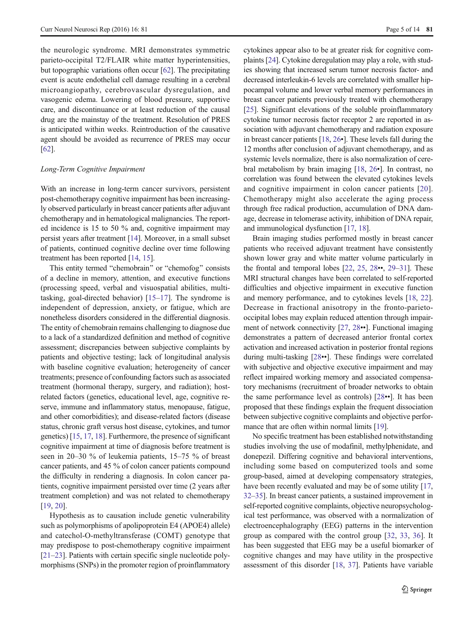the neurologic syndrome. MRI demonstrates symmetric parieto-occipital T2/FLAIR white matter hyperintensities, but topographic variations often occur [[62\]](#page-11-0). The precipitating event is acute endothelial cell damage resulting in a cerebral microangiopathy, cerebrovascular dysregulation, and vasogenic edema. Lowering of blood pressure, supportive care, and discontinuance or at least reduction of the causal drug are the mainstay of the treatment. Resolution of PRES is anticipated within weeks. Reintroduction of the causative agent should be avoided as recurrence of PRES may occur [\[62\]](#page-11-0).

### Long-Term Cognitive Impairment

With an increase in long-term cancer survivors, persistent post-chemotherapy cognitive impairment has been increasingly observed particularly in breast cancer patients after adjuvant chemotherapy and in hematological malignancies. The reported incidence is 15 to 50 % and, cognitive impairment may persist years after treatment [[14](#page-10-0)]. Moreover, in a small subset of patients, continued cognitive decline over time following treatment has been reported [\[14](#page-10-0), [15](#page-10-0)].

This entity termed "chemobrain" or "chemofog" consists of a decline in memory, attention, and executive functions (processing speed, verbal and visuospatial abilities, multitasking, goal-directed behavior) [\[15](#page-10-0)–[17](#page-10-0)]. The syndrome is independent of depression, anxiety, or fatigue, which are nonetheless disorders considered in the differential diagnosis. The entity of chemobrain remains challenging to diagnose due to a lack of a standardized definition and method of cognitive assessment; discrepancies between subjective complaints by patients and objective testing; lack of longitudinal analysis with baseline cognitive evaluation; heterogeneity of cancer treatments; presence of confounding factors such as associated treatment (hormonal therapy, surgery, and radiation); hostrelated factors (genetics, educational level, age, cognitive reserve, immune and inflammatory status, menopause, fatigue, and other comorbidities); and disease-related factors (disease status, chronic graft versus host disease, cytokines, and tumor genetics) [[15,](#page-10-0) [17,](#page-10-0) [18\]](#page-10-0). Furthermore, the presence of significant cognitive impairment at time of diagnosis before treatment is seen in 20–30 % of leukemia patients, 15–75 % of breast cancer patients, and 45 % of colon cancer patients compound the difficulty in rendering a diagnosis. In colon cancer patients, cognitive impairment persisted over time (2 years after treatment completion) and was not related to chemotherapy [\[19,](#page-10-0) [20\]](#page-10-0).

Hypothesis as to causation include genetic vulnerability such as polymorphisms of apolipoprotein E4 (APOE4) allele) and catechol-O-methyltransferase (COMT) genotype that may predispose to post-chemotherapy cognitive impairment [\[21](#page-10-0)–[23\]](#page-10-0). Patients with certain specific single nucleotide polymorphisms (SNPs) in the promoter region of proinflammatory cytokines appear also to be at greater risk for cognitive complaints [\[24\]](#page-10-0). Cytokine deregulation may play a role, with studies showing that increased serum tumor necrosis factor- and decreased interleukin-6 levels are correlated with smaller hippocampal volume and lower verbal memory performances in breast cancer patients previously treated with chemotherapy [\[25](#page-10-0)]. Significant elevations of the soluble proinflammatory cytokine tumor necrosis factor receptor 2 are reported in association with adjuvant chemotherapy and radiation exposure in breast cancer patients [\[18,](#page-10-0) [26](#page-10-0)•]. These levels fall during the 12 months after conclusion of adjuvant chemotherapy, and as systemic levels normalize, there is also normalization of cerebral metabolism by brain imaging [\[18](#page-10-0), [26](#page-10-0)•]. In contrast, no correlation was found between the elevated cytokines levels and cognitive impairment in colon cancer patients [[20](#page-10-0)]. Chemotherapy might also accelerate the aging process through free radical production, accumulation of DNA damage, decrease in telomerase activity, inhibition of DNA repair, and immunological dysfunction [[17](#page-10-0), [18](#page-10-0)].

Brain imaging studies performed mostly in breast cancer patients who received adjuvant treatment have consistently shown lower gray and white matter volume particularly in the frontal and temporal lobes [\[22](#page-10-0), [25,](#page-10-0) [28](#page-10-0)••, [29](#page-10-0)–[31\]](#page-10-0). These MRI structural changes have been correlated to self-reported difficulties and objective impairment in executive function and memory performance, and to cytokines levels [\[18,](#page-10-0) [22\]](#page-10-0). Decrease in fractional anisotropy in the fronto-parietooccipital lobes may explain reduced attention through impairment of network connectivity [\[27,](#page-10-0) [28](#page-10-0)••]. Functional imaging demonstrates a pattern of decreased anterior frontal cortex activation and increased activation in posterior frontal regions during multi-tasking [\[28](#page-10-0)••]. These findings were correlated with subjective and objective executive impairment and may reflect impaired working memory and associated compensatory mechanisms (recruitment of broader networks to obtain the same performance level as controls) [[28](#page-10-0)••]. It has been proposed that these findings explain the frequent dissociation between subjective cognitive complaints and objective perfor-mance that are often within normal limits [\[19\]](#page-10-0).

No specific treatment has been established notwithstanding studies involving the use of modafinil, methylphenidate, and donepezil. Differing cognitive and behavioral interventions, including some based on computerized tools and some group-based, aimed at developing compensatory strategies, have been recently evaluated and may be of some utility [[17,](#page-10-0) [32](#page-11-0)–[35\]](#page-11-0). In breast cancer patients, a sustained improvement in self-reported cognitive complaints, objective neuropsychological test performance, was observed with a normalization of electroencephalography (EEG) patterns in the intervention group as compared with the control group [\[32](#page-11-0), [33,](#page-11-0) [36\]](#page-11-0). It has been suggested that EEG may be a useful biomarker of cognitive changes and may have utility in the prospective assessment of this disorder [\[18](#page-10-0), [37](#page-11-0)]. Patients have variable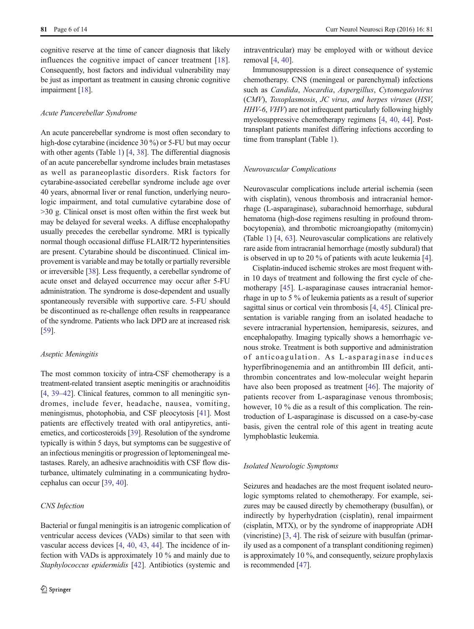cognitive reserve at the time of cancer diagnosis that likely influences the cognitive impact of cancer treatment [\[18](#page-10-0)]. Consequently, host factors and individual vulnerability may be just as important as treatment in causing chronic cognitive impairment [\[18](#page-10-0)].

## Acute Pancerebellar Syndrome

An acute pancerebellar syndrome is most often secondary to high-dose cytarabine (incidence 30 %) or 5-FU but may occur with other agents (Table [1\)](#page-2-0) [[4,](#page-10-0) [38\]](#page-11-0). The differential diagnosis of an acute pancerebellar syndrome includes brain metastases as well as paraneoplastic disorders. Risk factors for cytarabine-associated cerebellar syndrome include age over 40 years, abnormal liver or renal function, underlying neurologic impairment, and total cumulative cytarabine dose of >30 g. Clinical onset is most often within the first week but may be delayed for several weeks. A diffuse encephalopathy usually precedes the cerebellar syndrome. MRI is typically normal though occasional diffuse FLAIR/T2 hyperintensities are present. Cytarabine should be discontinued. Clinical improvement is variable and may be totally or partially reversible or irreversible [[38\]](#page-11-0). Less frequently, a cerebellar syndrome of acute onset and delayed occurrence may occur after 5-FU administration. The syndrome is dose-dependent and usually spontaneously reversible with supportive care. 5-FU should be discontinued as re-challenge often results in reappearance of the syndrome. Patients who lack DPD are at increased risk [\[59\]](#page-11-0).

#### Aseptic Meningitis

The most common toxicity of intra-CSF chemotherapy is a treatment-related transient aseptic meningitis or arachnoiditis [\[4](#page-10-0), [39](#page-11-0)–[42](#page-11-0)]. Clinical features, common to all meningitic syndromes, include fever, headache, nausea, vomiting, meningismus, photophobia, and CSF pleocytosis [\[41](#page-11-0)]. Most patients are effectively treated with oral antipyretics, antiemetics, and corticosteroids [[39\]](#page-11-0). Resolution of the syndrome typically is within 5 days, but symptoms can be suggestive of an infectious meningitis or progression of leptomeningeal metastases. Rarely, an adhesive arachnoiditis with CSF flow disturbance, ultimately culminating in a communicating hydrocephalus can occur [[39,](#page-11-0) [40\]](#page-11-0).

#### CNS Infection

intraventricular) may be employed with or without device removal [[4](#page-10-0), [40](#page-11-0)].

Immunosuppression is a direct consequence of systemic chemotherapy. CNS (meningeal or parenchymal) infections such as Candida, Nocardia, Aspergillus, Cytomegalovirus (CMV), Toxoplasmosis, JC virus, and herpes viruses (HSV, HHV-6, VHV) are not infrequent particularly following highly myelosuppressive chemotherapy regimens [\[4](#page-10-0), [40,](#page-11-0) [44](#page-11-0)]. Posttransplant patients manifest differing infections according to time from transplant (Table [1\)](#page-2-0).

### Neurovascular Complications

Neurovascular complications include arterial ischemia (seen with cisplatin), venous thrombosis and intracranial hemorrhage (L-asparaginase), subarachnoid hemorrhage, subdural hematoma (high-dose regimens resulting in profound thrombocytopenia), and thrombotic microangiopathy (mitomycin) (Table [1\)](#page-2-0) [[4,](#page-10-0) [63](#page-11-0)]. Neurovascular complications are relatively rare aside from intracranial hemorrhage (mostly subdural) that is observed in up to 20 % of patients with acute leukemia [[4\]](#page-10-0).

Cisplatin-induced ischemic strokes are most frequent within 10 days of treatment and following the first cycle of chemotherapy [\[45](#page-11-0)]. L-asparaginase causes intracranial hemorrhage in up to 5 % of leukemia patients as a result of superior sagittal sinus or cortical vein thrombosis [\[4](#page-10-0), [45\]](#page-11-0). Clinical presentation is variable ranging from an isolated headache to severe intracranial hypertension, hemiparesis, seizures, and encephalopathy. Imaging typically shows a hemorrhagic venous stroke. Treatment is both supportive and administration of anticoagulation. As L-asparaginase induces hyperfibrinogenemia and an antithrombin III deficit, antithrombin concentrates and low-molecular weight heparin have also been proposed as treatment [[46](#page-11-0)]. The majority of patients recover from L-asparaginase venous thrombosis; however, 10 % die as a result of this complication. The reintroduction of L-asparaginase is discussed on a case-by-case basis, given the central role of this agent in treating acute lymphoblastic leukemia.

# Isolated Neurologic Symptoms

Seizures and headaches are the most frequent isolated neurologic symptoms related to chemotherapy. For example, seizures may be caused directly by chemotherapy (busulfan), or indirectly by hyperhydration (cisplatin), renal impairment (cisplatin, MTX), or by the syndrome of inappropriate ADH (vincristine) [[3,](#page-10-0) [4](#page-10-0)]. The risk of seizure with busulfan (primarily used as a component of a transplant conditioning regimen) is approximately 10 %, and consequently, seizure prophylaxis is recommended [[47\]](#page-11-0).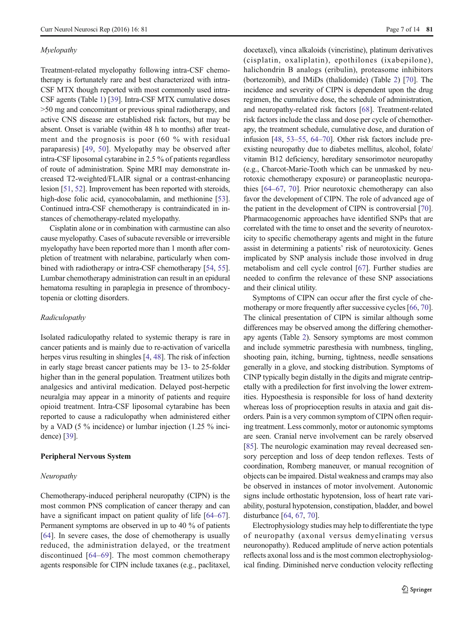#### Myelopathy

Treatment-related myelopathy following intra-CSF chemotherapy is fortunately rare and best characterized with intra-CSF MTX though reported with most commonly used intra-CSF agents (Table [1](#page-2-0)) [[39\]](#page-11-0). Intra-CSF MTX cumulative doses >50 mg and concomitant or previous spinal radiotherapy, and active CNS disease are established risk factors, but may be absent. Onset is variable (within 48 h to months) after treatment and the prognosis is poor (60 % with residual paraparesis) [[49,](#page-11-0) [50\]](#page-11-0). Myelopathy may be observed after intra-CSF liposomal cytarabine in 2.5 % of patients regardless of route of administration. Spine MRI may demonstrate increased T2-weighted/FLAIR signal or a contrast-enhancing lesion [[51](#page-11-0), [52\]](#page-11-0). Improvement has been reported with steroids, high-dose folic acid, cyanocobalamin, and methionine [[53\]](#page-11-0). Continued intra-CSF chemotherapy is contraindicated in instances of chemotherapy-related myelopathy.

Cisplatin alone or in combination with carmustine can also cause myelopathy. Cases of subacute reversible or irreversible myelopathy have been reported more than 1 month after completion of treatment with nelarabine, particularly when combined with radiotherapy or intra-CSF chemotherapy [[54,](#page-11-0) [55\]](#page-11-0). Lumbar chemotherapy administration can result in an epidural hematoma resulting in paraplegia in presence of thrombocytopenia or clotting disorders.

#### Radiculopathy

Isolated radiculopathy related to systemic therapy is rare in cancer patients and is mainly due to re-activation of varicella herpes virus resulting in shingles [\[4,](#page-10-0) [48\]](#page-11-0). The risk of infection in early stage breast cancer patients may be 13- to 25-folder higher than in the general population. Treatment utilizes both analgesics and antiviral medication. Delayed post-herpetic neuralgia may appear in a minority of patients and require opioid treatment. Intra-CSF liposomal cytarabine has been reported to cause a radiculopathy when administered either by a VAD (5 % incidence) or lumbar injection (1.25 % incidence) [[39](#page-11-0)].

#### Peripheral Nervous System

## Neuropathy

Chemotherapy-induced peripheral neuropathy (CIPN) is the most common PNS complication of cancer therapy and can have a significant impact on patient quality of life [\[64](#page-11-0)–[67\]](#page-11-0). Permanent symptoms are observed in up to 40 % of patients [\[64](#page-11-0)]. In severe cases, the dose of chemotherapy is usually reduced, the administration delayed, or the treatment discontinued [\[64](#page-11-0)–[69](#page-11-0)]. The most common chemotherapy agents responsible for CIPN include taxanes (e.g., paclitaxel, docetaxel), vinca alkaloids (vincristine), platinum derivatives (cisplatin, oxaliplatin), epothilones (ixabepilone), halichondrin B analogs (eribulin), proteasome inhibitors (bortezomib), and IMiDs (thalidomide) (Table [2\)](#page-7-0) [[70\]](#page-12-0). The incidence and severity of CIPN is dependent upon the drug regimen, the cumulative dose, the schedule of administration, and neuropathy-related risk factors [[68\]](#page-11-0). Treatment-related risk factors include the class and dose per cycle of chemotherapy, the treatment schedule, cumulative dose, and duration of infusion [\[48](#page-11-0), [53](#page-11-0)–[55,](#page-11-0) [64](#page-11-0)–[70\]](#page-12-0). Other risk factors include preexisting neuropathy due to diabetes mellitus, alcohol, folate/ vitamin B12 deficiency, hereditary sensorimotor neuropathy (e.g., Charcot-Marie-Tooth which can be unmasked by neurotoxic chemotherapy exposure) or paraneoplastic neuropathies [[64](#page-11-0)–[67](#page-11-0), [70\]](#page-12-0). Prior neurotoxic chemotherapy can also favor the development of CIPN. The role of advanced age of the patient in the development of CIPN is controversial [[70\]](#page-12-0). Pharmacogenomic approaches have identified SNPs that are correlated with the time to onset and the severity of neurotoxicity to specific chemotherapy agents and might in the future assist in determining a patients' risk of neurotoxicity. Genes implicated by SNP analysis include those involved in drug metabolism and cell cycle control [[67\]](#page-11-0). Further studies are needed to confirm the relevance of these SNP associations and their clinical utility.

Symptoms of CIPN can occur after the first cycle of che-motherapy or more frequently after successive cycles [[66](#page-11-0), [70\]](#page-12-0). The clinical presentation of CIPN is similar although some differences may be observed among the differing chemotherapy agents (Table [2\)](#page-7-0). Sensory symptoms are most common and include symmetric paresthesia with numbness, tingling, shooting pain, itching, burning, tightness, needle sensations generally in a glove, and stocking distribution. Symptoms of CINP typically begin distally in the digits and migrate centripetally with a predilection for first involving the lower extremities. Hypoesthesia is responsible for loss of hand dexterity whereas loss of proprioception results in ataxia and gait disorders. Pain is a very common symptom of CIPN often requiring treatment. Less commonly, motor or autonomic symptoms are seen. Cranial nerve involvement can be rarely observed [\[85](#page-12-0)]. The neurologic examination may reveal decreased sensory perception and loss of deep tendon reflexes. Tests of coordination, Romberg maneuver, or manual recognition of objects can be impaired. Distal weakness and cramps may also be observed in instances of motor involvement. Autonomic signs include orthostatic hypotension, loss of heart rate variability, postural hypotension, constipation, bladder, and bowel disturbance [\[64](#page-11-0), [67](#page-11-0), [70\]](#page-12-0).

Electrophysiology studies may help to differentiate the type of neuropathy (axonal versus demyelinating versus neuronopathy). Reduced amplitude of nerve action potentials reflects axonal loss and is the most common electrophysiological finding. Diminished nerve conduction velocity reflecting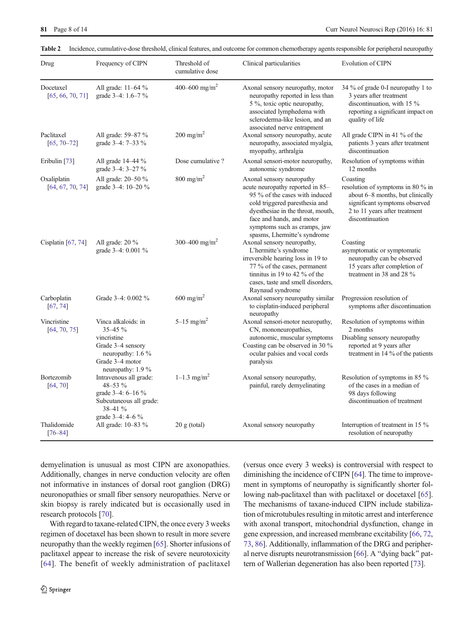2 Springer

research protocols [\[70](#page-12-0)].

Additionally, changes in nerve conduction velocity are often not informative in instances of dorsal root ganglion (DRG) neuronopathies or small fiber sensory neuropathies. Nerve or skin biopsy is rarely indicated but is occasionally used in With regard to taxane-related CIPN, the once every 3 weeks regimen of docetaxel has been shown to result in more severe neuropathy than the weekly regimen [\[65\]](#page-11-0). Shorter infusions of paclitaxel appear to increase the risk of severe neurotoxicity

demyelination is unusual as most CIPN are axonopathies.

diminishing the incidence of CIPN [\[64\]](#page-11-0). The time to improvement in symptoms of neuropathy is significantly shorter following nab-paclitaxel than with paclitaxel or docetaxel [[65\]](#page-11-0). The mechanisms of taxane-induced CIPN include stabilization of microtubules resulting in mitotic arrest and interference with axonal transport, mitochondrial dysfunction, change in gene expression, and increased membrane excitability [[66,](#page-11-0) [72,](#page-12-0) [73,](#page-12-0) [86](#page-12-0)]. Additionally, inflammation of the DRG and peripher-al nerve disrupts neurotransmission [[66\]](#page-11-0). A "dying back" pattern of Wallerian degeneration has also been reported [\[73](#page-12-0)].

(versus once every 3 weeks) is controversial with respect to

| Drug                            | Frequency of CIPN                                                                                                                      | Threshold of<br>cumulative dose | Clinical particularities                                                                                                                                                                                                                                            | Evolution of CIPN                                                                                                                                                      |
|---------------------------------|----------------------------------------------------------------------------------------------------------------------------------------|---------------------------------|---------------------------------------------------------------------------------------------------------------------------------------------------------------------------------------------------------------------------------------------------------------------|------------------------------------------------------------------------------------------------------------------------------------------------------------------------|
| Docetaxel<br>[65, 66, 70, 71]   | All grade: 11-64 %<br>grade 3-4: 1.6-7 %                                                                                               | 400-600 mg/m <sup>2</sup>       | Axonal sensory neuropathy, motor<br>neuropathy reported in less than<br>5 %, toxic optic neuropathy,<br>associated lymphedema with<br>scleroderma-like lesion, and an<br>associated nerve entrapment                                                                | 34 % of grade 0-I neuropathy 1 to<br>3 years after treatment<br>discontinuation, with 15 %<br>reporting a significant impact on<br>quality of life                     |
| Paclitaxel<br>$[65, 70 - 72]$   | All grade: 59–87 %<br>grade 3-4: 7-33 %                                                                                                | $200 \text{ mg/m}^2$            | Axonal sensory neuropathy, acute<br>neuropathy, associated myalgia,<br>myopathy, arthralgia                                                                                                                                                                         | All grade CIPN in 41 % of the<br>patients 3 years after treatment<br>discontinuation                                                                                   |
| Eribulin [73]                   | All grade 14–44 %<br>grade 3-4: 3-27 %                                                                                                 | Dose cumulative?                | Axonal sensori-motor neuropathy,<br>autonomic syndrome                                                                                                                                                                                                              | Resolution of symptoms within<br>12 months                                                                                                                             |
| Oxaliplatin<br>[64, 67, 70, 74] | All grade: 20-50 %<br>grade 3-4: 10-20 %                                                                                               | $800$ mg/m <sup>2</sup>         | Axonal sensory neuropathy<br>acute neuropathy reported in 85–<br>95 % of the cases with induced<br>cold triggered paresthesia and<br>dyesthesiae in the throat, mouth,<br>face and hands, and motor<br>symptoms such as cramps, jaw<br>spasms, Lhermitte's syndrome | Coasting<br>resolution of symptoms in 80 % in<br>about 6-8 months, but clinically<br>significant symptoms observed<br>2 to 11 years after treatment<br>discontinuation |
| Cisplatin $[67, 74]$            | All grade: $20\%$<br>grade 3-4: 0.001 %                                                                                                | 300-400 mg/m <sup>2</sup>       | Axonal sensory neuropathy,<br>L'hermitte's syndrome<br>irreversible hearing loss in 19 to<br>77 % of the cases, permanent<br>tinnitus in 19 to 42 % of the<br>cases, taste and smell disorders,<br>Raynaud syndrome                                                 | Coasting<br>asymptomatic or symptomatic<br>neuropathy can be observed<br>15 years after completion of<br>treatment in 38 and 28 %                                      |
| Carboplatin<br>[67, 74]         | Grade 3-4: 0.002 %                                                                                                                     | 600 mg/m <sup>2</sup>           | Axonal sensory neuropathy similar<br>to cisplatin-induced peripheral<br>neuropathy                                                                                                                                                                                  | Progression resolution of<br>symptoms after discontinuation                                                                                                            |
| Vincristine<br>[64, 70, 75]     | Vinca alkaloids: in<br>$35 - 45 \%$<br>vincristine<br>Grade 3-4 sensory<br>neuropathy: 1.6 %<br>Grade 3-4 motor<br>neuropathy: $1.9\%$ | 5 $-15$ mg/m <sup>2</sup>       | Axonal sensori-motor neuropathy,<br>CN, mononeuropathies,<br>autonomic, muscular symptoms<br>Coasting can be observed in 30 %<br>ocular palsies and vocal cords<br>paralysis                                                                                        | Resolution of symptoms within<br>2 months<br>Disabling sensory neuropathy<br>reported at 9 years after<br>treatment in 14 % of the patients                            |
| Bortezomib<br>[64, 70]          | Intravenous all grade:<br>48-53 %<br>grade $3-4$ : 6-16 %<br>Subcutaneous all grade:<br>38-41 %<br>grade 3-4: 4-6 %                    | $1 - 1.3$ mg/m <sup>2</sup>     | Axonal sensory neuropathy,<br>painful, rarely demyelinating                                                                                                                                                                                                         | Resolution of symptoms in 85 %<br>of the cases in a median of<br>98 days following<br>discontinuation of treatment                                                     |
| Thalidomide<br>$[76 - 84]$      | All grade: 10-83 %                                                                                                                     | $20 \text{ g}$ (total)          | Axonal sensory neuropathy                                                                                                                                                                                                                                           | Interruption of treatment in 15 %<br>resolution of neuropathy                                                                                                          |

<span id="page-7-0"></span>Table 2 Incidence, cumulative-dose threshold, clinical features, and outcome for common chemotherapy agents responsible for peripheral neuropathy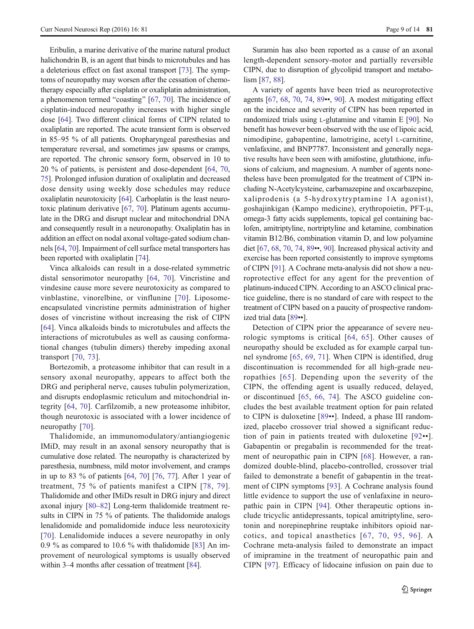Eribulin, a marine derivative of the marine natural product halichondrin B, is an agent that binds to microtubules and has a deleterious effect on fast axonal transport [\[73\]](#page-12-0). The symptoms of neuropathy may worsen after the cessation of chemotherapy especially after cisplatin or oxaliplatin administration, a phenomenon termed "coasting"  $[67, 70]$  $[67, 70]$  $[67, 70]$  $[67, 70]$ . The incidence of cisplatin-induced neuropathy increases with higher single dose [\[64](#page-11-0)]. Two different clinical forms of CIPN related to oxaliplatin are reported. The acute transient form is observed in 85–95 % of all patients. Oropharyngeal paresthesias and temperature reversal, and sometimes jaw spasms or cramps, are reported. The chronic sensory form, observed in 10 to 20 % of patients, is persistent and dose-dependent [[64,](#page-11-0) [70,](#page-12-0) [75\]](#page-12-0). Prolonged infusion duration of oxaliplatin and decreased dose density using weekly dose schedules may reduce oxaliplatin neurotoxicity [[64](#page-11-0)]. Carboplatin is the least neurotoxic platinum derivative [[67,](#page-11-0) [70](#page-12-0)]. Platinum agents accumulate in the DRG and disrupt nuclear and mitochondrial DNA and consequently result in a neuronopathy. Oxaliplatin has in addition an effect on nodal axonal voltage-gated sodium channels [[64](#page-11-0), [70\]](#page-12-0). Impairment of cell surface metal transporters has been reported with oxaliplatin [[74](#page-12-0)].

Vinca alkaloids can result in a dose-related symmetric distal sensorimotor neuropathy [[64](#page-11-0), [70](#page-12-0)]. Vincristine and vindesine cause more severe neurotoxicity as compared to vinblastine, vinorelbine, or vinflunine [\[70\]](#page-12-0). Liposomeencapsulated vincristine permits administration of higher doses of vincristine without increasing the risk of CIPN [\[64\]](#page-11-0). Vinca alkaloids binds to microtubules and affects the interactions of microtubules as well as causing conformational changes (tubulin dimers) thereby impeding axonal transport [[70,](#page-12-0) [73](#page-12-0)].

Bortezomib, a proteasome inhibitor that can result in a sensory axonal neuropathy, appears to affect both the DRG and peripheral nerve, causes tubulin polymerization, and disrupts endoplasmic reticulum and mitochondrial integrity [[64](#page-11-0), [70](#page-12-0)]. Carfilzomib, a new proteasome inhibitor, though neurotoxic is associated with a lower incidence of neuropathy [\[70\]](#page-12-0).

Thalidomide, an immunomodulatory/antiangiogenic IMiD, may result in an axonal sensory neuropathy that is cumulative dose related. The neuropathy is characterized by paresthesia, numbness, mild motor involvement, and cramps in up to 83 % of patients [\[64](#page-11-0), [70\]](#page-12-0) [\[76](#page-12-0), [77\]](#page-12-0). After 1 year of treatment, 75 % of patients manifest a CIPN [[78,](#page-12-0) [79](#page-12-0)]. Thalidomide and other IMiDs result in DRG injury and direct axonal injury [\[80](#page-12-0)–[82\]](#page-12-0) Long-term thalidomide treatment results in CIPN in 75 % of patients. The thalidomide analogs lenalidomide and pomalidomide induce less neurotoxicity [\[70\]](#page-12-0). Lenalidomide induces a severe neuropathy in only 0.9 % as compared to 10.6 % with thalidomide [[83](#page-12-0)] An improvement of neurological symptoms is usually observed within 3–4 months after cessation of treatment [[84\]](#page-12-0).

Suramin has also been reported as a cause of an axonal length-dependent sensory-motor and partially reversible CIPN, due to disruption of glycolipid transport and metabolism [\[87](#page-12-0), [88](#page-12-0)].

A variety of agents have been tried as neuroprotective agents [\[67,](#page-11-0) [68](#page-11-0), [70](#page-12-0), [74,](#page-12-0) [89](#page-12-0)••, [90\]](#page-12-0). A modest mitigating effect on the incidence and severity of CIPN has been reported in randomized trials using L-glutamine and vitamin E [[90](#page-12-0)]. No benefit has however been observed with the use of lipoic acid, nimodipine, gabapentine, lamotrigine, acetyl L-carnitine, venlafaxine, and BNP7787. Inconsistent and generally negative results have been seen with amifostine, glutathione, infusions of calcium, and magnesium. A number of agents nonetheless have been promulgated for the treatment of CIPN including N-Acetylcysteine, carbamazepine and oxcarbazepine, xaliprodenis (a 5-hydroxytryptamine 1A agonist), goshajinkigan (Kampo medicine), erythropoietin, PFT-μ, omega-3 fatty acids supplements, topical gel containing baclofen, amitriptyline, nortriptyline and ketamine, combination vitamin B12/B6, combination vitamin D, and low polyamine diet [\[67](#page-11-0), [68,](#page-11-0) [70,](#page-12-0) [74](#page-12-0), [89](#page-12-0)••, [90](#page-12-0)]. Increased physical activity and exercise has been reported consistently to improve symptoms of CIPN [[91](#page-12-0)]. A Cochrane meta-analysis did not show a neuroprotective effect for any agent for the prevention of platinum-induced CIPN. According to an ASCO clinical practice guideline, there is no standard of care with respect to the treatment of CIPN based on a paucity of prospective randomized trial data [[89](#page-12-0)••].

Detection of CIPN prior the appearance of severe neurologic symptoms is critical [[64](#page-11-0), [65\]](#page-11-0). Other causes of neuropathy should be excluded as for example carpal tunnel syndrome [[65,](#page-11-0) [69,](#page-11-0) [71\]](#page-12-0). When CIPN is identified, drug discontinuation is recommended for all high-grade neuropathies [[65\]](#page-11-0). Depending upon the severity of the CIPN, the offending agent is usually reduced, delayed, or discontinued [\[65,](#page-11-0) [66,](#page-11-0) [74\]](#page-12-0). The ASCO guideline concludes the best available treatment option for pain related to CIPN is duloxetine [[89](#page-12-0)••]. Indeed, a phase III randomized, placebo crossover trial showed a significant reduction of pain in patients treated with duloxetine [[92](#page-12-0)••]. Gabapentin or pregabalin is recommended for the treatment of neuropathic pain in CIPN [[68](#page-11-0)]. However, a randomized double-blind, placebo-controlled, crossover trial failed to demonstrate a benefit of gabapentin in the treatment of CIPN symptoms [\[93](#page-12-0)]. A Cochrane analysis found little evidence to support the use of venlafaxine in neuropathic pain in CIPN [[94](#page-12-0)]. Other therapeutic options include tricyclic antidepressants, topical amitriptyline, serotonin and norepinephrine reuptake inhibitors opioid narcotics, and topical anasthetics [[67](#page-11-0), [70,](#page-12-0) [95,](#page-12-0) [96](#page-12-0)]. A Cochrane meta-analysis failed to demonstrate an impact of imipramine in the treatment of neuropathic pain and CIPN [[97](#page-12-0)]. Efficacy of lidocaine infusion on pain due to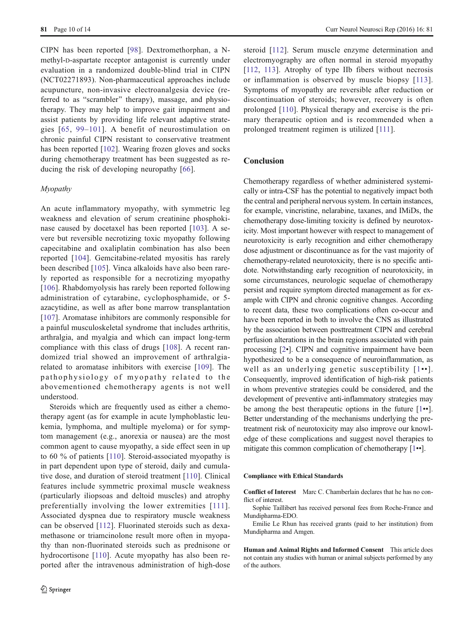CIPN has been reported [[98\]](#page-12-0). Dextromethorphan, a Nmethyl-D-aspartate receptor antagonist is currently under evaluation in a randomized double-blind trial in CIPN (NCT02271893). Non-pharmaceutical approaches include acupuncture, non-invasive electroanalgesia device (referred to as "scrambler" therapy), massage, and physiotherapy. They may help to improve gait impairment and assist patients by providing life relevant adaptive strategies [[65,](#page-11-0) [99](#page-12-0)–[101\]](#page-12-0). A benefit of neurostimulation on chronic painful CIPN resistant to conservative treatment has been reported [[102\]](#page-12-0). Wearing frozen gloves and socks during chemotherapy treatment has been suggested as reducing the risk of developing neuropathy [\[66\]](#page-11-0).

#### Myopathy

An acute inflammatory myopathy, with symmetric leg weakness and elevation of serum creatinine phosphokinase caused by docetaxel has been reported [\[103\]](#page-12-0). A severe but reversible necrotizing toxic myopathy following capecitabine and oxaliplatin combination has also been reported [\[104\]](#page-12-0). Gemcitabine-related myositis has rarely been described [[105](#page-13-0)]. Vinca alkaloids have also been rarely reported as responsible for a necrotizing myopathy [\[106\]](#page-13-0). Rhabdomyolysis has rarely been reported following administration of cytarabine, cyclophosphamide, or 5 azacytidine, as well as after bone marrow transplantation [\[107\]](#page-13-0). Aromatase inhibitors are commonly responsible for a painful musculoskeletal syndrome that includes arthritis, arthralgia, and myalgia and which can impact long-term compliance with this class of drugs [[108](#page-13-0)]. A recent randomized trial showed an improvement of arthralgiarelated to aromatase inhibitors with exercise [[109](#page-13-0)]. The pathophysiology of myopathy related to the abovementioned chemotherapy agents is not well understood.

Steroids which are frequently used as either a chemotherapy agent (as for example in acute lymphoblastic leukemia, lymphoma, and multiple myeloma) or for symptom management (e.g., anorexia or nausea) are the most common agent to cause myopathy, a side effect seen in up to 60 % of patients [\[110](#page-13-0)]. Steroid-associated myopathy is in part dependent upon type of steroid, daily and cumulative dose, and duration of steroid treatment [\[110](#page-13-0)]. Clinical features include symmetric proximal muscle weakness (particularly iliopsoas and deltoid muscles) and atrophy preferentially involving the lower extremities [[111\]](#page-13-0). Associated dyspnea due to respiratory muscle weakness can be observed [\[112](#page-13-0)]. Fluorinated steroids such as dexamethasone or triamcinolone result more often in myopathy than non-fluorinated steroids such as prednisone or hydrocortisone [\[110](#page-13-0)]. Acute myopathy has also been reported after the intravenous administration of high-dose

steroid [[112](#page-13-0)]. Serum muscle enzyme determination and electromyography are often normal in steroid myopathy [\[112,](#page-13-0) [113\]](#page-13-0). Atrophy of type IIb fibers without necrosis or inflammation is observed by muscle biopsy [[113](#page-13-0)]. Symptoms of myopathy are reversible after reduction or discontinuation of steroids; however, recovery is often prolonged [[110\]](#page-13-0). Physical therapy and exercise is the primary therapeutic option and is recommended when a prolonged treatment regimen is utilized [\[111\]](#page-13-0).

## **Conclusion**

Chemotherapy regardless of whether administered systemically or intra-CSF has the potential to negatively impact both the central and peripheral nervous system. In certain instances, for example, vincristine, nelarabine, taxanes, and IMiDs, the chemotherapy dose-limiting toxicity is defined by neurotoxicity. Most important however with respect to management of neurotoxicity is early recognition and either chemotherapy dose adjustment or discontinuance as for the vast majority of chemotherapy-related neurotoxicity, there is no specific antidote. Notwithstanding early recognition of neurotoxicity, in some circumstances, neurologic sequelae of chemotherapy persist and require symptom directed management as for example with CIPN and chronic cognitive changes. According to recent data, these two complications often co-occur and have been reported in both to involve the CNS as illustrated by the association between posttreatment CIPN and cerebral perfusion alterations in the brain regions associated with pain processing [\[2](#page-10-0)•]. CIPN and cognitive impairment have been hypothesized to be a consequence of neuroinflammation, as well as an underlying genetic susceptibility [[1](#page-10-0)••]. Consequently, improved identification of high-risk patients in whom preventive strategies could be considered, and the development of preventive anti-inflammatory strategies may be among the best therapeutic options in the future [[1](#page-10-0)••]. Better understanding of the mechanisms underlying the pretreatment risk of neurotoxicity may also improve our knowledge of these complications and suggest novel therapies to mitigate this common complication of chemotherapy [\[1](#page-10-0)••].

#### Compliance with Ethical Standards

Conflict of Interest Marc C. Chamberlain declares that he has no conflict of interest.

Sophie Taillibert has received personal fees from Roche-France and Mundipharma-EDO.

Emilie Le Rhun has received grants (paid to her institution) from Mundipharma and Amgen.

Human and Animal Rights and Informed Consent This article does not contain any studies with human or animal subjects performed by any of the authors.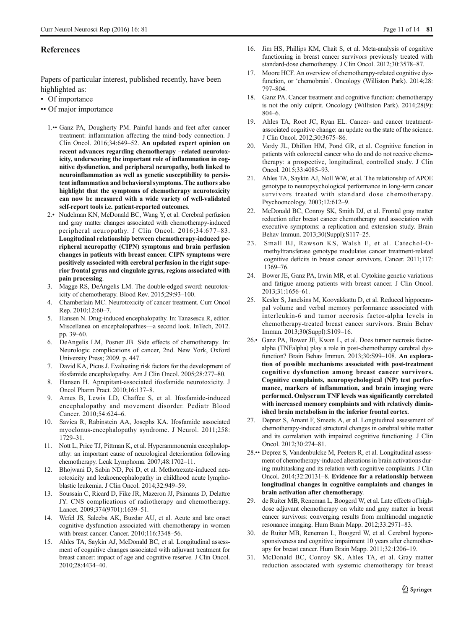# <span id="page-10-0"></span>**References**

Papers of particular interest, published recently, have been highlighted as:

- Of importance
- •• Of major importance
	- 1.•• Ganz PA, Dougherty PM. Painful hands and feet after cancer treatment: inflammation affecting the mind-body connection. J Clin Oncol. 2016;34:649–52. An updated expert opinion on recent advances regarding chemotherapy –related neurotoxicity, underscoring the important role of inflammation in cognitive dysfunction, and peripheral neuropathy, both linked to neuroinflammation as well as genetic susceptibility to persistent inflammation and behavioral symptoms. The authors also highlight that the symptoms of chemotherapy neurotoxicity can now be measured with a wide variety of well-validated self-report tools i.e. patient-reported outcomes.
	- 2.• Nudelman KN, McDonald BC, Wang Y, et al. Cerebral perfusion and gray matter changes associated with chemotherapy-induced peripheral neuropathy. J Clin Oncol. 2016;34:677–83. Longitudinal relationship between chemotherapy-induced peripheral neuropathy (CIPN) symptoms and brain perfusion changes in patients with breast cancer. CIPN symptoms were positively associated with cerebral perfusion in the right superior frontal gyrus and cingulate gyrus, regions associated with pain processing.
	- 3. Magge RS, DeAngelis LM. The double-edged sword: neurotoxicity of chemotherapy. Blood Rev. 2015;29:93–100.
	- 4. Chamberlain MC. Neurotoxicity of cancer treatment. Curr Oncol Rep. 2010;12:60–7.
	- 5. Hansen N. Drug-induced encephalopathy. In: Tanasescu R, editor. Miscellanea on encephalopathies—a second look. InTech, 2012. pp. 39–60.
	- 6. DeAngelis LM, Posner JB. Side effects of chemotherapy. In: Neurologic complications of cancer, 2nd. New York, Oxford University Press; 2009. p. 447.
	- 7. David KA, Picus J. Evaluating risk factors for the development of ifosfamide encephalopathy. Am J Clin Oncol. 2005;28:277–80.
	- 8. Hansen H. Aprepitant-associated ifosfamide neurotoxicity. J Oncol Pharm Pract. 2010;16:137–8.
	- 9. Ames B, Lewis LD, Chaffee S, et al. Ifosfamide-induced encephalopathy and movement disorder. Pediatr Blood Cancer. 2010;54:624–6.
- 10. Savica R, Rabinstein AA, Josephs KA. Ifosfamide associated myoclonus-encephalopathy syndrome. J Neurol. 2011;258: 1729–31.
- 11. Nott L, Price TJ, Pittman K, et al. Hyperammonemia encephalopathy: an important cause of neurological deterioration following chemotherapy. Leuk Lymphoma. 2007;48:1702–11.
- 12. Bhojwani D, Sabin ND, Pei D, et al. Methotrexate-induced neurotoxicity and leukoencephalopathy in childhood acute lymphoblastic leukemia. J Clin Oncol. 2014;32:949–59.
- 13. Soussain C, Ricard D, Fike JR, Mazeron JJ, Psimaras D, Delattre JY. CNS complications of radiotherapy and chemotherapy. Lancet. 2009;374(9701):1639–51.
- 14. Wefel JS, Saleeba AK, Buzdar AU, et al. Acute and late onset cognitive dysfunction associated with chemotherapy in women with breast cancer. Cancer. 2010;116:3348–56.
- 15. Ahles TA, Saykin AJ, McDonald BC, et al. Longitudinal assessment of cognitive changes associated with adjuvant treatment for breast cancer: impact of age and cognitive reserve. J Clin Oncol. 2010;28:4434–40.
- 16. Jim HS, Phillips KM, Chait S, et al. Meta-analysis of cognitive functioning in breast cancer survivors previously treated with standard-dose chemotherapy. J Clin Oncol. 2012;30:3578–87.
- Moore HCF. An overview of chemotherapy-related cognitive dysfunction, or 'chemobrain'. Oncology (Williston Park). 2014;28: 797–804.
- 18. Ganz PA. Cancer treatment and cognitive function: chemotherapy is not the only culprit. Oncology (Williston Park). 2014;28(9): 804–6.
- 19. Ahles TA, Root JC, Ryan EL. Cancer- and cancer treatmentassociated cognitive change: an update on the state of the science. J Clin Oncol. 2012;30:3675–86.
- 20. Vardy JL, Dhillon HM, Pond GR, et al. Cognitive function in patients with colorectal cancer who do and do not receive chemotherapy: a prospective, longitudinal, controlled study. J Clin Oncol. 2015;33:4085–93.
- 21. Ahles TA, Saykin AJ, Noll WW, et al. The relationship of APOE genotype to neuropsychological performance in long-term cancer survivors treated with standard dose chemotherapy. Psychooncology. 2003;12:612–9.
- 22. McDonald BC, Conroy SK, Smith DJ, et al. Frontal gray matter reduction after breast cancer chemotherapy and association with executive symptoms: a replication and extension study. Brain Behav Immun. 2013;30(Suppl):S117–25.
- 23. Small BJ, Rawson KS, Walsh E, et al. Catechol-Omethyltransferase genotype modulates cancer treatment-related cognitive deficits in breast cancer survivors. Cancer. 2011;117: 1369–76.
- 24. Bower JE, Ganz PA, Irwin MR, et al. Cytokine genetic variations and fatigue among patients with breast cancer. J Clin Oncol. 2013;31:1656–61.
- 25. Kesler S, Janelsins M, Koovakkattu D, et al. Reduced hippocampal volume and verbal memory performance associated with interleukin-6 and tumor necrosis factor-alpha levels in chemotherapy-treated breast cancer survivors. Brain Behav Immun. 2013;30(Suppl):S109–16.
- 26.• Ganz PA, Bower JE, Kwan L, et al. Does tumor necrosis factoralpha (TNFalpha) play a role in post-chemotherapy cerebral dysfunction? Brain Behav Immun. 2013;30:S99–108. An exploration of possible mechanisms associated with post-treatment cognitive dysfunction among breast cancer survivors. Cognitive complaints, neuropsychological (NP) test performance, markers of inflammation, and brain imaging were performed. Onlyserum TNF levels was significantly correlated with increased memory complaints and with relatively diminished brain metabolism in the inferior frontal cortex.
- 27. Deprez S, Amant F, Smeets A, et al. Longitudinal assessment of chemotherapy-induced structural changes in cerebral white matter and its correlation with impaired cognitive functioning. J Clin Oncol. 2012;30:274–81.
- 28.•• Deprez S, Vandenbulcke M, Peeters R, et al. Longitudinal assessment of chemotherapy-induced alterations in brain activations during multitasking and its relation with cognitive complaints. J Clin Oncol. 2014;32:20131–8. Evidence for a relationship between longitudinal changes in cognitive complaints and changes in brain activation after chemotherapy.
- 29. de Ruiter MB, Reneman L, Boogerd W, et al. Late effects of highdose adjuvant chemotherapy on white and gray matter in breast cancer survivors: converging results from multimodal magnetic resonance imaging. Hum Brain Mapp. 2012;33:2971–83.
- 30. de Ruiter MB, Reneman L, Boogerd W, et al. Cerebral hyporesponsiveness and cognitive impairment 10 years after chemotherapy for breast cancer. Hum Brain Mapp. 2011;32:1206–19.
- 31. McDonald BC, Conroy SK, Ahles TA, et al. Gray matter reduction associated with systemic chemotherapy for breast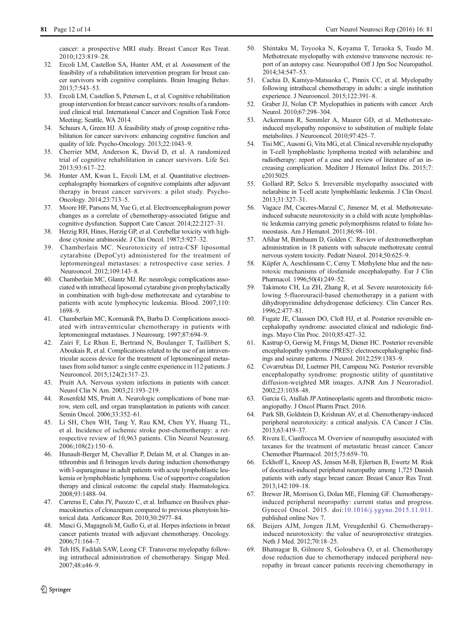<span id="page-11-0"></span>cancer: a prospective MRI study. Breast Cancer Res Treat. 2010;123:819–28.

- 32. Ercoli LM, Castellon SA, Hunter AM, et al. Assessment of the feasibility of a rehabilitation intervention program for breast cancer survivors with cognitive complaints. Brain Imaging Behav. 2013;7:543–53.
- 33. Ercoli LM, Castellon S, Petersen L, et al. Cognitive rehabilitation group intervention for breast cancer survivors: results of a randomized clinical trial. International Cancer and Cognition Task Force Meeting; Seattle, WA 2014.
- 34. Schuurs A, Green HJ. A feasibility study of group cognitive rehabilitation for cancer survivors: enhancing cognitive function and quality of life. Psycho-Oncology. 2013;22:1043–9.
- 35. Cherrier MM, Anderson K, David D, et al. A randomized trial of cognitive rehabilitation in cancer survivors. Life Sci. 2013;93:617–22.
- 36. Hunter AM, Kwan L, Ercoli LM, et al. Quantitative electroencephalography biomarkers of cognitive complaints after adjuvant therapy in breast cancer survivors: a pilot study. Psycho-Oncology. 2014;23:713–5.
- 37. Moore HF, Parsons M, Yue G, et al. Electroencephalogram power changes as a correlate of chemotherapy-associated fatigue and cognitive dysfunction. Support Care Cancer. 2014;22:2127–31.
- 38. Herzig RH, Hines, Herzig GP, et al. Cerebellar toxicity with highdose cytosine arabinoside. J Clin Oncol. 1987;5:927–32.
- 39. Chamberlain MC. Neurotoxicity of intra-CSF liposomal cytarabine (DepoCyt) administered for the treatment of leptomeningeal metastases: a retrospective case series. J Neurooncol. 2012;109:143–8.
- 40. Chamberlain MC, Glantz MJ. Re: neurologic complications associated with intrathecal liposomal cytarabine given prophylactically in combination with high-dose methotrexate and cytarabine to patients with acute lymphocytic leukemia. Blood. 2007;110: 1698–9.
- 41. Chamberlain MC, Kormanik PA, Barba D. Complications associated with intraventricular chemotherapy in patients with leptomeningeal metastases. J Neurosurg. 1997;87:694–9.
- 42. Zairi F, Le Rhun E, Bertrand N, Boulanger T, Taillibert S, Aboukais R, et al. Complications related to the use of an intraventricular access device for the treatment of leptomeningeal metastases from solid tumor: a single centre experience in 112 patients. J Neurooncol. 2015;124(2):317–23.
- 43. Pruitt AA. Nervous system infections in patients with cancer. Neurol Clin N Am. 2003;21:193–219.
- 44. Rosenfeld MS, Pruitt A. Neurologic complications of bone marrow, stem cell, and organ transplantation in patients with cancer. Semin Oncol. 2006;33:352–61.
- 45. Li SH, Chen WH, Tang Y, Rau KM, Chen YY, Huang TL, et al. Incidence of ischemic stroke post-chemotherapy: a retrospective review of 10,963 patients. Clin Neurol Neurosurg. 2006;108(2):150–6.
- 46. Hunault-Berger M, Chevallier P, Delain M, et al. Changes in antithrombin and fi brinogen levels during induction chemotherapy with l-asparaginase in adult patients with acute lymphoblastic leukemia or lymphoblastic lymphoma. Use of supportive coagulation therapy and clinical outcome: the capelal study. Haematologica. 2008;93:1488–94.
- 47. Carreras E, Cahn JY, Puozzo C, et al. Influence on Busilvex pharmacokinetics of clonazepam compared to previous phenytoin historical data. Anticancer Res. 2010;30:2977–84.
- 48. Masci G, Magagnoli M, Gullo G, et al. Herpes infections in breast cancer patients treated with adjuvant chemotherapy. Oncology. 2006;71:164–7.
- 49. Teh HS, Fadilah SAW, Leong CF. Transverse myelopathy following intrathecal administration of chemotherapy. Singap Med. 2007;48:e46–9.
- 50. Shintaku M, Toyooka N, Koyama T, Teraoka S, Tsudo M. Methotrexate myelopathy with extensive transverse necrosis: report of an autopsy case. Neuropathol Off J Jpn Soc Neuropathol. 2014;34:547–53.
- 51. Cachia D, Kamiya-Matsuoka C, Pinnix CC, et al. Myelopathy following intrathecal chemotherapy in adults: a single institution experience. J Neurooncol. 2015;122:391–8.
- 52. Graber JJ, Nolan CP. Myelopathies in patients with cancer. Arch Neurol. 2010;67:298–304.
- 53. Ackermann R, Semmler A, Maurer GD, et al. Methotrexateinduced myelopathy responsive to substitution of multiple folate metabolites. J Neurooncol. 2010;97:425–7.
- 54. Tisi MC, Ausoni G, Vita MG, et al. Clinical reversible myelopathy in T-cell lymphoblastic lymphoma treated with nelarabine and radiotherapy: report of a case and review of literature of an increasing complication. Mediterr J Hematol Infect Dis. 2015;7: e2015025.
- 55. Gollard RP, Selco S. Irreversible myelopathy associated with nelarabine in T-cell acute lymphoblastic leukemia. J Clin Oncol. 2013;31:327–31.
- 56. Vagace JM, Caceres-Marzal C, Jimenez M, et al. Methotrexateinduced subacute neurotoxicity in a child with acute lymphoblastic leukemia carrying genetic polymorphisms related to folate homeostasis. Am J Hematol. 2011;86:98–101.
- 57. Afshar M, Birnbaum D, Golden C. Review of dextromethorphan administration in 18 patients with subacute methotrexate central nervous system toxicity. Pediatr Neurol. 2014;50:625–9.
- 58. Küpfer A, Aeschlimann C, Cerny T. Methylene blue and the neurotoxic mechanisms of ifosfamide encephalopathy. Eur J Clin Pharmacol. 1996;50(4):249–52.
- 59. Takimoto CH, Lu ZH, Zhang R, et al. Severe neurotoxicity following 5-fluorouracil-based chemotherapy in a patient with dihydropyrimidine dehydrogenase deficiency. Clin Cancer Res. 1996;2:477–81.
- 60. Fugate JE, Claassen DO, Cloft HJ, et al. Posterior reversible encephalopathy syndrome: associated clinical and radiologic findings. Mayo Clin Proc. 2010;85:427–32.
- 61. Kastrup O, Gerwig M, Frings M, Diener HC. Posterior reversible encephalopathy syndrome (PRES): electroencephalographic findings and seizure patterns. J Neurol. 2012;259:1383–9.
- 62. Covarrubias DJ, Luetmer PH, Campeau NG. Posterior reversible encephalopathy syndrome: prognostic utility of quantitative diffusion-weighted MR images. AJNR Am J Neuroradiol. 2002;23:1038–48.
- 63. Garcia G, Atallah JP Antineoplastic agents and thrombotic microangiopathy. J Oncol Pharm Pract. 2016.
- Park SB, Goldstein D, Krishnan AV, et al. Chemotherapy-induced peripheral neurotoxicity: a critical analysis. CA Cancer J Clin. 2013;63:419–37.
- 65. Rivera E, Cianfrocca M. Overview of neuropathy associated with taxanes for the treatment of metastatic breast cancer. Cancer Chemother Pharmacol. 2015;75:659–70.
- 66. Eckhoff L, Knoop AS, Jensen M-B, Ejlertsen B, Ewertz M. Risk of docetaxel-induced peripheral neuropathy among 1,725 Danish patients with early stage breast cancer. Breast Cancer Res Treat. 2013;142:109–18.
- 67. Brewer JR, Morrison G, Dolan ME, Fleming GF. Chemotherapyinduced peripheral neuropathy: current status and progress. Gynecol Oncol. 2015. doi:[10.1016/j.ygyno.2015.11.011](http://dx.doi.org/10.1016/j.ygyno.2015.11.011). published online Nov 7.
- 68. Beijers AJM, Jongen JLM, Vreugdenhil G. Chemotherapyinduced neurotoxicity: the value of neuroprotective strategies. Neth J Med. 2012;70:18–25.
- 69. Bhatnagar B, Gilmore S, Goloubeva O, et al. Chemotherapy dose reduction due to chemotherapy induced peripheral neuropathy in breast cancer patients receiving chemotherapy in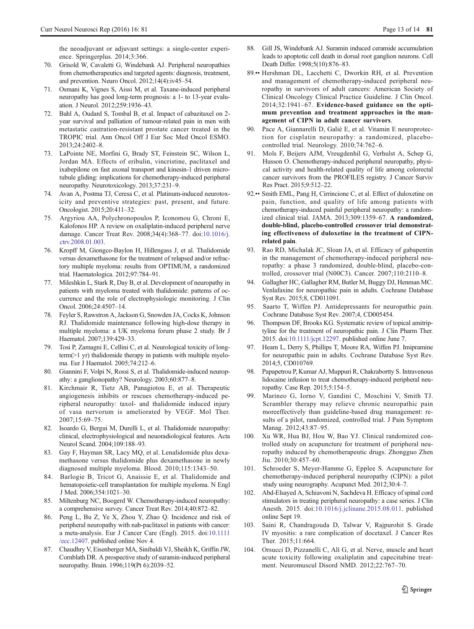<span id="page-12-0"></span>the neoadjuvant or adjuvant settings: a single-center experience. Springerplus. 2014;3:366.

- 70. Grisold W, Cavaletti G, Windebank AJ. Peripheral neuropathies from chemotherapeutics and targeted agents: diagnosis, treatment, and prevention. Neuro Oncol. 2012;14(4):iv45–54.
- 71. Osmani K, Vignes S, Aissi M, et al. Taxane-induced peripheral neuropathy has good long-term prognosis: a 1- to 13-year evaluation. J Neurol. 2012;259:1936–43.
- 72. Bahl A, Oudard S, Tombal B, et al. Impact of cabazitaxel on 2 year survival and palliation of tumour-related pain in men with metastatic castration-resistant prostate cancer treated in the TROPIC trial. Ann Oncol Off J Eur Soc Med Oncol ESMO. 2013;24:2402–8.
- 73. LaPointe NE, Morfini G, Brady ST, Feinstein SC, Wilson L, Jordan MA. Effects of eribulin, vincristine, paclitaxel and ixabepilone on fast axonal transport and kinesin-1 driven microtubule gliding: implications for chemotherapy-induced peripheral neuropathy. Neurotoxicology. 2013;37:231–9.
- 74. Avan A, Postma TJ, Ceresa C, et al. Platinum-induced neurotoxicity and preventive strategies: past, present, and future. Oncologist. 2015;20:411–32.
- 75. Argyriou AA, Polychronopoulos P, Iconomou G, Chroni E, Kalofonos HP. A review on oxaliplatin-induced peripheral nerve damage. Cancer Treat Rev. 2008;34(4):368–77. doi[:10.1016/j.](http://dx.doi.org/10.1016/j.ctrv.2008.01.003) [ctrv.2008.01.003](http://dx.doi.org/10.1016/j.ctrv.2008.01.003).
- 76. Kropff M, Giongco-Baylon H, Hillengass J, et al. Thalidomide versus dexamethasone for the treatment of relapsed and/or refractory multiple myeloma: results from OPTIMUM, a randomized trial. Haematologica. 2012;97:784–91.
- 77. Mileshkin L, Stark R, Day B, et al. Development of neuropathy in patients with myeloma treated with thalidomide: patterns of occurrence and the role of electrophysiologic monitoring. J Clin Oncol. 2006;24:4507–14.
- 78. Feyler S, Rawstron A, Jackson G, Snowden JA, Cocks K, Johnson RJ. Thalidomide maintenance following high-dose therapy in multiple myeloma: a UK myeloma forum phase 2 study. Br J Haematol. 2007;139:429–33.
- 79. Tosi P, Zamagni E, Cellini C, et al. Neurological toxicity of longterm(>1 yr) thalidomide therapy in patients with multiple myeloma. Eur J Haematol. 2005;74:212–6.
- 80. Giannini F, Volpi N, Rossi S, et al. Thalidomide-induced neuropathy: a ganglionopathy? Neurology. 2003;60:877–8.
- 81. Kirchmair R, Tietz AB, Panagiotou E, et al. Therapeutic angiogenesis inhibits or rescues chemotherapy-induced peripheral neuropathy: taxol- and thalidomide induced injury of vasa nervorum is ameliorated by VEGF. Mol Ther. 2007;15:69–75.
- 82. Isoardo G, Bergui M, Durelli L, et al. Thalidomide neuropathy: clinical, electrophysiological and neuoradiological features. Acta Neurol Scand. 2004;109:188–93.
- 83. Gay F, Hayman SR, Lacy MQ, et al. Lenalidomide plus dexamethasone versus thalidomide plus dexamethasone in newly diagnosed multiple myeloma. Blood. 2010;115:1343–50.
- 84. Barlogie B, Tricot G, Anaissie E, et al. Thalidomide and hematopoietic-cell transplantation for multiple myeloma. N Engl J Med. 2006;354:1021–30.
- Miltenburg NC, Boogerd W. Chemotherapy-induced neuropathy: a comprehensive survey. Cancer Treat Rev. 2014;40:872–82.
- 86. Peng L, Bu Z, Ye X, Zhou Y, Zhao Q. Incidence and risk of peripheral neuropathy with nab-paclitaxel in patients with cancer: a meta-analysis. Eur J Cancer Care (Engl). 2015. doi[:10.1111](http://dx.doi.org/10.1111/ecc.12407) [/ecc.12407](http://dx.doi.org/10.1111/ecc.12407). published online Nov 4.
- 87. Chaudhry V, Eisenberger MA, Sinibaldi VJ, Sheikh K, Griffin JW, Cornblath DR. A prospective study of suramin-induced peripheral neuropathy. Brain. 1996;119(Pt 6):2039–52.
- 88. Gill JS, Windebank AJ. Suramin induced ceramide accumulation leads to apoptotic cell death in dorsal root ganglion neurons. Cell Death Differ. 1998;5(10):876–83.
- 89.•• Hershman DL, Lacchetti C, Dworkin RH, et al. Prevention and management of chemotherapy-induced peripheral neuropathy in survivors of adult cancers: American Society of Clinical Oncology Clinical Practice Guideline. J Clin Oncol. 2014;32:1941–67. Evidence-based guidance on the optimum prevention and treatment approaches in the management of CIPN in adult cancer survivors.
- 90. Pace A, Giannarelli D, Galiè E, et al. Vitamin E neuroprotection for cisplatin neuropathy: a randomized, placebocontrolled trial. Neurology. 2010;74:762–6.
- 91. Mols F, Beijers AJM, Vreugdenhil G, Verhulst A, Schep G, Husson O. Chemotherapy-induced peripheral neuropathy, physical activity and health-related quality of life among colorectal cancer survivors from the PROFILES registry. J Cancer Surviv Res Pract. 2015;9:512–22.
- 92.•• Smith EML, Pang H, Cirrincione C, et al. Effect of duloxetine on pain, function, and quality of life among patients with chemotherapy-induced painful peripheral neuropathy: a randomized clinical trial. JAMA. 2013;309:1359–67. A randomized, double-blind, placebo-controlled crossover trial demonstrating effectiveness of duloxetine in the treatment of CIPNrelated pain.
- 93. Rao RD, Michalak JC, Sloan JA, et al. Efficacy of gabapentin in the management of chemotherapy-induced peripheral neuropathy: a phase 3 randomized, double-blind, placebo-controlled, crossover trial (N00C3). Cancer. 2007;110:2110–8.
- 94. Gallagher HC, Gallagher RM, Butler M, Buggy DJ, Henman MC. Venlafaxine for neuropathic pain in adults. Cochrane Database Syst Rev. 2015;8, CD011091.
- 95. Saarto T, Wiffen PJ. Antidepressants for neuropathic pain. Cochrane Database Syst Rev. 2007;4, CD005454.
- 96. Thompson DF, Brooks KG. Systematic review of topical amitriptyline for the treatment of neuropathic pain. J Clin Pharm Ther. 2015. doi[:10.1111/jcpt.12297](http://dx.doi.org/10.1111/jcpt.12297). published online June 7.
- 97. Hearn L, Derry S, Phillips T, Moore RA, Wiffen PJ. Imipramine for neuropathic pain in adults. Cochrane Database Syst Rev. 2014;5, CD010769.
- 98. Papapetrou P, Kumar AJ, Muppuri R, Chakrabortty S. Intravenous lidocaine infusion to treat chemotherapy-induced peripheral neuropathy. Case Rep. 2015;5:154–5.
- 99. Marineo G, Iorno V, Gandini C, Moschini V, Smith TJ. Scrambler therapy may relieve chronic neuropathic pain moreeffectively than guideline-based drug management: results of a pilot, randomized, controlled trial. J Pain Symptom Manag. 2012;43:87–95.
- 100. Xu WR, Hua BJ, Hou W, Bao YJ. Clinical randomized controlled study on acupuncture for treatment of peripheral neuropathy induced by chemotherapeutic drugs. Zhongguo Zhen Jiu. 2010;30:457–60.
- 101. Schroeder S, Meyer-Hamme G, Epplee S. Acupuncture for chemotherapy-induced peripheral neuropathy (CIPN): a pilot study using neurography. Acupunct Med. 2012;30:4–7.
- 102. Abd-Elsayed A, Schiavoni N, Sachdeva H. Efficacy of spinal cord stimulators in treating peripheral neuropathy: a case series. J Clin Anesth. 2015. doi[:10.1016/j.jclinane.2015.08.011.](http://dx.doi.org/10.1016/j.jclinane.2015.08.011) published online Sept 19.
- 103. Saini R, Chandragouda D, Talwar V, Rajpurohit S. Grade IV myositis: a rare complication of docetaxel. J Cancer Res Ther. 2015;11:664.
- 104. Orsucci D, Pizzanelli C, Alì G, et al. Nerve, muscle and heart acute toxicity following oxaliplatin and capecitabine treatment. Neuromuscul Disord NMD. 2012;22:767–70.